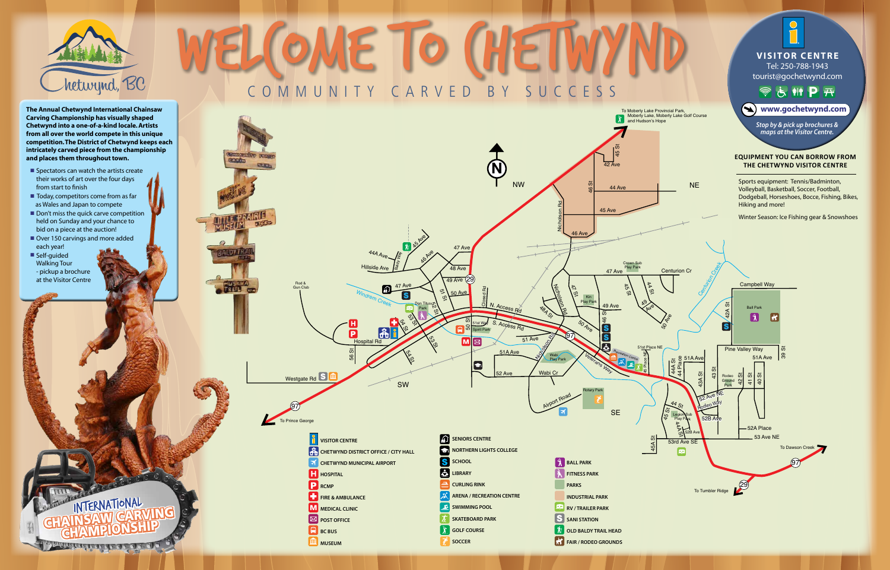

97

To Prince George

Rod & Gun Club

**COLOR** 

**BRID** OF

- $\blacksquare$  Spectators can watch the artists create their works of art over the four days from start to finish
- $\blacksquare$  Today, competitors come from as far as Wales and Japan to compete
- $\blacksquare$  Don't miss the quick carve competition held on Sunday and your chance to bid on a piece at the auction!

INTERNATIONAL

- Over 150 carvings and more added each year!
- Self-guided Walking Tour - pickup a brochure at the Visitor Centre



**The Annual Chetwynd International Chainsaw Carving Championship has visually shaped Chetwynd into a one-of-a-kind locale. Artists from all over the world compete in this unique competition. The District of Chetwynd keeps each intricately carved piece from the championship and places them throughout town.**